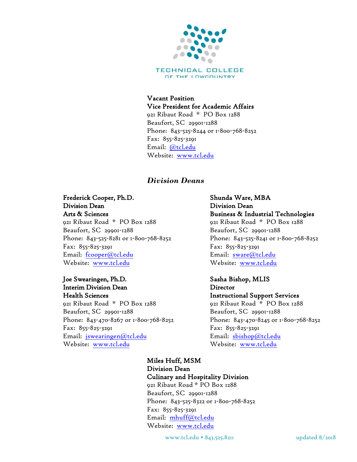

TECHNICAL COLLEGE OF THE LOWCOUNTRY

#### Vacant Position Vice President for Academic Affairs 921 Ribaut Road \* PO Box 1288 Beaufort, SC 29901-1288 Phone: 843-525-8244 or 1-800-768-8252 Fax: 855-825-3291 Email: [@tcl.edu](mailto:fcooper@tcl.edu) Website: [www.tcl.edu](http://www.tcl.edu/)

#### *Division Deans*

#### Frederick Cooper, Ph.D. Division Dean

Arts & Sciences 921 Ribaut Road \* PO Box 1288 Beaufort, SC 29901-1288 Phone: 843-525-8281 or 1-800-768-8252 Fax: 855-825-3291 Email: [fcooper@tcl.edu](mailto:fcooper@tcl.edu) Website: [www.tcl.edu](http://www.tcl.edu/)

#### Joe Swearingen, Ph.D. Interim Division Dean Health Sciences

921 Ribaut Road \* PO Box 1288 Beaufort, SC 29901-1288 Phone: 843-470-8267 or 1-800-768-8252 Fax: 855-825-3291 Email: [jswearingen@tcl.edu](mailto:jswearingen@tcl.edu) Website: [www.tcl.edu](http://www.tcl.edu/) Website: [www.tcl.edu](http://www.tcl.edu/)

#### Shunda Ware, MBA Division Dean Business & Industrial Technologies 921 Ribaut Road \* PO Box 1288 Beaufort, SC 29901-1288 Phone: 843-525-8241 or 1-800-768-8252 Fax: 855-825-3291 Email: [sware@tcl.edu](mailto:sware@tcl.edu) Website: [www.tcl.edu](http://www.tcl.edu/)

#### Sasha Bishop, MLIS **Director** Instructional Support Services 921 Ribaut Road \* PO Box 1288 Beaufort, SC 29901-1288 Phone: 843-470-8245 or 1-800-768-8252 Fax: 855-825-3291 Email: [sbishop@tcl.edu](mailto:sbishop@tcl.edu)

Miles Huff, MSM Division Dean Culinary and Hospitality Division 921 Ribaut Road \* PO Box 1288 Beaufort, SC 29901-1288 Phone: 843-525-8322 or 1-800-768-8252 Fax: 855-825-3291 Email: [mhuff@tcl.edu](mailto:mhuff@tcl.edu) Website: [www.tcl.edu](http://www.tcl.edu/)

www.tcl.edu • 843.525.8211 updated 8/2018